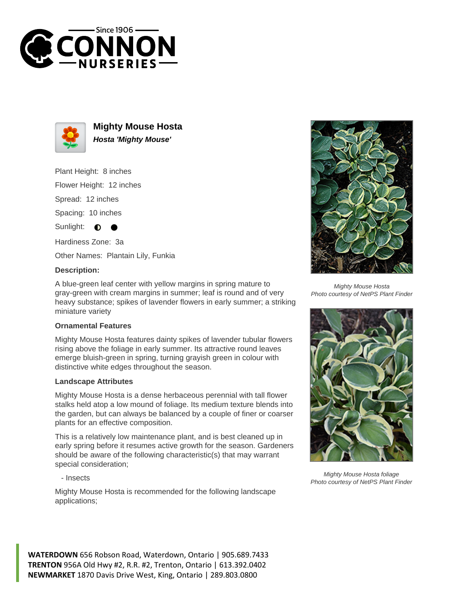



**Mighty Mouse Hosta Hosta 'Mighty Mouse'**

Plant Height: 8 inches

Flower Height: 12 inches

Spread: 12 inches

Spacing: 10 inches

Sunlight:  $\bullet$ 

Hardiness Zone: 3a

Other Names: Plantain Lily, Funkia

## **Description:**

A blue-green leaf center with yellow margins in spring mature to gray-green with cream margins in summer; leaf is round and of very heavy substance; spikes of lavender flowers in early summer; a striking miniature variety

## **Ornamental Features**

Mighty Mouse Hosta features dainty spikes of lavender tubular flowers rising above the foliage in early summer. Its attractive round leaves emerge bluish-green in spring, turning grayish green in colour with distinctive white edges throughout the season.

### **Landscape Attributes**

Mighty Mouse Hosta is a dense herbaceous perennial with tall flower stalks held atop a low mound of foliage. Its medium texture blends into the garden, but can always be balanced by a couple of finer or coarser plants for an effective composition.

This is a relatively low maintenance plant, and is best cleaned up in early spring before it resumes active growth for the season. Gardeners should be aware of the following characteristic(s) that may warrant special consideration;

#### - Insects

Mighty Mouse Hosta is recommended for the following landscape applications;



Mighty Mouse Hosta Photo courtesy of NetPS Plant Finder



Mighty Mouse Hosta foliage Photo courtesy of NetPS Plant Finder

**WATERDOWN** 656 Robson Road, Waterdown, Ontario | 905.689.7433 **TRENTON** 956A Old Hwy #2, R.R. #2, Trenton, Ontario | 613.392.0402 **NEWMARKET** 1870 Davis Drive West, King, Ontario | 289.803.0800